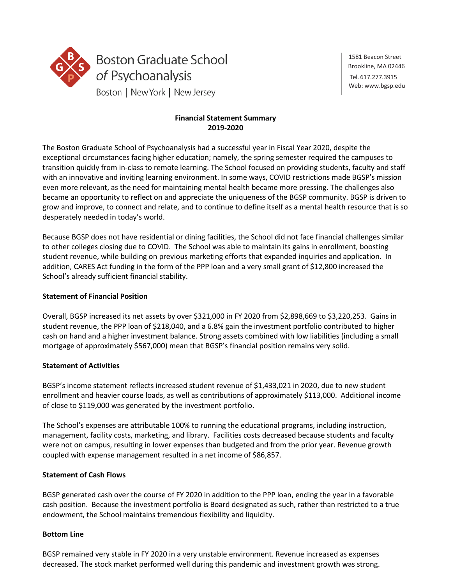

1581 Beacon Street Brookline, MA 02446

Web[: www.bgsp.edu](http://www.bgsp.edu/)

# **Financial Statement Summary 2019-2020**

The Boston Graduate School of Psychoanalysis had a successful year in Fiscal Year 2020, despite the exceptional circumstances facing higher education; namely, the spring semester required the campuses to transition quickly from in-class to remote learning. The School focused on providing students, faculty and staff with an innovative and inviting learning environment. In some ways, COVID restrictions made BGSP's mission even more relevant, as the need for maintaining mental health became more pressing. The challenges also became an opportunity to reflect on and appreciate the uniqueness of the BGSP community. BGSP is driven to grow and improve, to connect and relate, and to continue to define itself as a mental health resource that is so desperately needed in today's world.

Because BGSP does not have residential or dining facilities, the School did not face financial challenges similar to other colleges closing due to COVID. The School was able to maintain its gains in enrollment, boosting student revenue, while building on previous marketing efforts that expanded inquiries and application. In addition, CARES Act funding in the form of the PPP loan and a very small grant of \$12,800 increased the School's already sufficient financial stability.

#### **Statement of Financial Position**

Overall, BGSP increased its net assets by over \$321,000 in FY 2020 from \$2,898,669 to \$3,220,253. Gains in student revenue, the PPP loan of \$218,040, and a 6.8% gain the investment portfolio contributed to higher cash on hand and a higher investment balance. Strong assets combined with low liabilities (including a small mortgage of approximately \$567,000) mean that BGSP's financial position remains very solid.

## **Statement of Activities**

BGSP's income statement reflects increased student revenue of \$1,433,021 in 2020, due to new student enrollment and heavier course loads, as well as contributions of approximately \$113,000. Additional income of close to \$119,000 was generated by the investment portfolio.

The School's expenses are attributable 100% to running the educational programs, including instruction, management, facility costs, marketing, and library. Facilities costs decreased because students and faculty were not on campus, resulting in lower expenses than budgeted and from the prior year. Revenue growth coupled with expense management resulted in a net income of \$86,857.

#### **Statement of Cash Flows**

BGSP generated cash over the course of FY 2020 in addition to the PPP loan, ending the year in a favorable cash position. Because the investment portfolio is Board designated as such, rather than restricted to a true endowment, the School maintains tremendous flexibility and liquidity.

#### **Bottom Line**

BGSP remained very stable in FY 2020 in a very unstable environment. Revenue increased as expenses decreased. The stock market performed well during this pandemic and investment growth was strong.